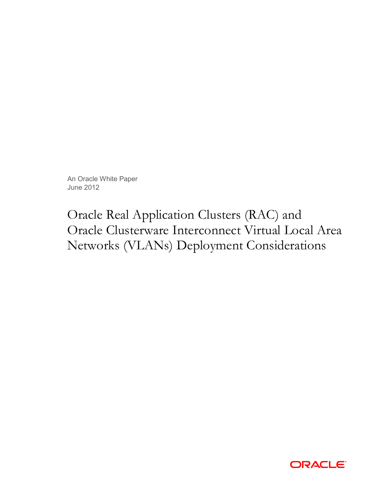An Oracle White Paper June 2012

Oracle Real Application Clusters (RAC) and Oracle Clusterware Interconnect Virtual Local Area Networks (VLANs) Deployment Considerations

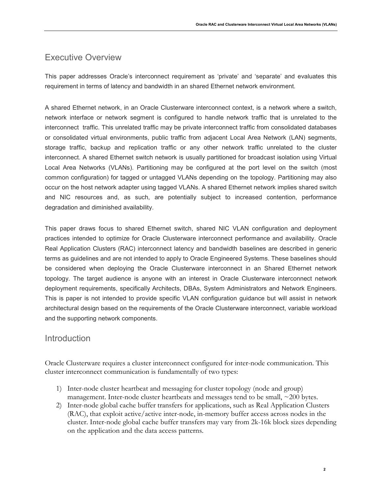## Executive Overview

This paper addresses Oracle's interconnect requirement as 'private' and 'separate' and evaluates this requirement in terms of latency and bandwidth in an shared Ethernet network environment.

A shared Ethernet network, in an Oracle Clusterware interconnect context, is a network where a switch, network interface or network segment is configured to handle network traffic that is unrelated to the interconnect traffic. This unrelated traffic may be private interconnect traffic from consolidated databases or consolidated virtual environments, public traffic from adjacent Local Area Network (LAN) segments, storage traffic, backup and replication traffic or any other network traffic unrelated to the cluster interconnect. A shared Ethernet switch network is usually partitioned for broadcast isolation using Virtual Local Area Networks (VLANs). Partitioning may be configured at the port level on the switch (most common configuration) for tagged or untagged VLANs depending on the topology. Partitioning may also occur on the host network adapter using tagged VLANs. A shared Ethernet network implies shared switch and NIC resources and, as such, are potentially subject to increased contention, performance degradation and diminished availability.

This paper draws focus to shared Ethernet switch, shared NIC VLAN configuration and deployment practices intended to optimize for Oracle Clusterware interconnect performance and availability. Oracle Real Application Clusters (RAC) interconnect latency and bandwidth baselines are described in generic terms as guidelines and are not intended to apply to Oracle Engineered Systems. These baselines should be considered when deploying the Oracle Clusterware interconnect in an Shared Ethernet network topology. The target audience is anyone with an interest in Oracle Clusterware interconnect network deployment requirements, specifically Architects, DBAs, System Administrators and Network Engineers. This is paper is not intended to provide specific VLAN configuration guidance but will assist in network architectural design based on the requirements of the Oracle Clusterware interconnect, variable workload and the supporting network components.

### **Introduction**

Oracle Clusterware requires a cluster interconnect configured for inter-node communication. This cluster interconnect communication is fundamentally of two types:

- 1) Inter-node cluster heartbeat and messaging for cluster topology (node and group) management. Inter-node cluster heartbeats and messages tend to be small, ~200 bytes.
- 2) Inter-node global cache buffer transfers for applications, such as Real Application Clusters (RAC), that exploit active/active inter-node, in-memory buffer access across nodes in the cluster. Inter-node global cache buffer transfers may vary from 2k-16k block sizes depending on the application and the data access patterns.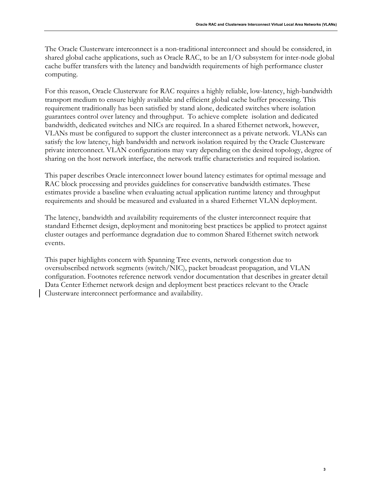The Oracle Clusterware interconnect is a non-traditional interconnect and should be considered, in shared global cache applications, such as Oracle RAC, to be an I/O subsystem for inter-node global cache buffer transfers with the latency and bandwidth requirements of high performance cluster computing.

For this reason, Oracle Clusterware for RAC requires a highly reliable, low-latency, high-bandwidth transport medium to ensure highly available and efficient global cache buffer processing. This requirement traditionally has been satisfied by stand alone, dedicated switches where isolation guarantees control over latency and throughput. To achieve complete isolation and dedicated bandwidth, dedicated switches and NICs are required. In a shared Ethernet network, however, VLANs must be configured to support the cluster interconnect as a private network. VLANs can satisfy the low latency, high bandwidth and network isolation required by the Oracle Clusterware private interconnect. VLAN configurations may vary depending on the desired topology, degree of sharing on the host network interface, the network traffic characteristics and required isolation.

This paper describes Oracle interconnect lower bound latency estimates for optimal message and RAC block processing and provides guidelines for conservative bandwidth estimates. These estimates provide a baseline when evaluating actual application runtime latency and throughput requirements and should be measured and evaluated in a shared Ethernet VLAN deployment.

The latency, bandwidth and availability requirements of the cluster interconnect require that standard Ethernet design, deployment and monitoring best practices be applied to protect against cluster outages and performance degradation due to common Shared Ethernet switch network events.

This paper highlights concern with Spanning Tree events, network congestion due to oversubscribed network segments (switch/NIC), packet broadcast propagation, and VLAN configuration. Footnotes reference network vendor documentation that describes in greater detail Data Center Ethernet network design and deployment best practices relevant to the Oracle Clusterware interconnect performance and availability.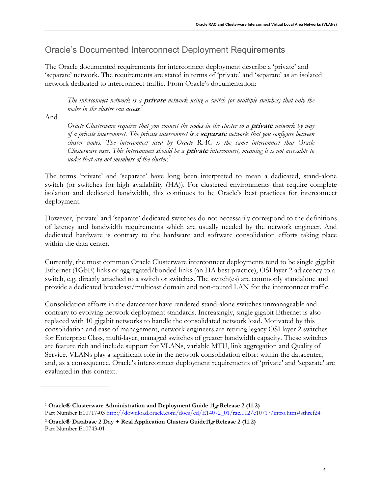### Oracle's Documented Interconnect Deployment Requirements

The Oracle documented requirements for interconnect deployment describe a 'private' and 'separate' network. The requirements are stated in terms of 'private' and 'separate' as an isolated network dedicated to interconnect traffic. From Oracle's documentation:

The interconnect network is a **private** network using a switch (or multiple switches) that only the nodes in the cluster can access.<sup>1</sup>

And

Oracle Clusterware requires that you connect the nodes in the cluster to a **private** network by way of a private interconnect. The private interconnect is a **separate** network that you configure between cluster nodes. The interconnect used by Oracle RAC is the same interconnect that Oracle Clusterware uses. This interconnect should be a **private** interconnect, meaning it is not accessible to nodes that are not members of the cluster. $<sup>2</sup>$ </sup>

The terms 'private' and 'separate' have long been interpreted to mean a dedicated, stand-alone switch (or switches for high availability (HA)). For clustered environments that require complete isolation and dedicated bandwidth, this continues to be Oracle's best practices for interconnect deployment.

However, 'private' and 'separate' dedicated switches do not necessarily correspond to the definitions of latency and bandwidth requirements which are usually needed by the network engineer. And dedicated hardware is contrary to the hardware and software consolidation efforts taking place within the data center.

Currently, the most common Oracle Clusterware interconnect deployments tend to be single gigabit Ethernet (1GbE) links or aggregated/bonded links (an HA best practice), OSI layer 2 adjacency to a switch, e.g. directly attached to a switch or switches. The switch(es) are commonly standalone and provide a dedicated broadcast/multicast domain and non-routed LAN for the interconnect traffic.

Consolidation efforts in the datacenter have rendered stand-alone switches unmanageable and contrary to evolving network deployment standards. Increasingly, single gigabit Ethernet is also replaced with 10 gigabit networks to handle the consolidated network load. Motivated by this consolidation and ease of management, network engineers are retiring legacy OSI layer 2 switches for Enterprise Class, multi-layer, managed switches of greater bandwidth capacity. These switches are feature rich and include support for VLANs, variable MTU, link aggregation and Quality of Service. VLANs play a significant role in the network consolidation effort within the datacenter, and, as a consequence, Oracle's interconnect deployment requirements of 'private' and 'separate' are evaluated in this context.

<sup>&</sup>lt;sup>1</sup> Oracle® Clusterware Administration and Deployment Guide 11g Release 2 (11.2) Part Number E10717-03 http://download.oracle.com/docs/cd/E14072\_01/rac.112/e10717/intro.htm#sthref24

<sup>&</sup>lt;sup>2</sup> Oracle® Database 2 Day + Real Application Clusters Guide11g Release 2 (11.2) Part Number E10743-01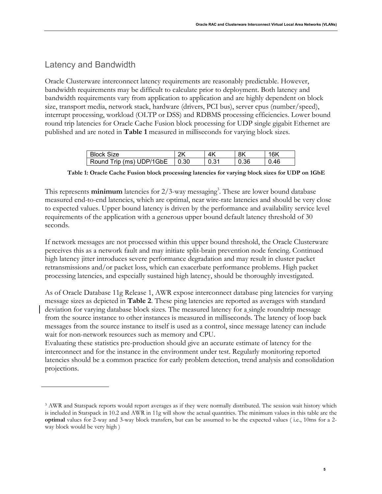# Latency and Bandwidth

Oracle Clusterware interconnect latency requirements are reasonably predictable. However, bandwidth requirements may be difficult to calculate prior to deployment. Both latency and bandwidth requirements vary from application to application and are highly dependent on block size, transport media, network stack, hardware (drivers, PCI bus), server cpus (number/speed), interrupt processing, workload (OLTP or DSS) and RDBMS processing efficiencies. Lower bound round trip latencies for Oracle Cache Fusion block processing for UDP single gigabit Ethernet are published and are noted in Table 1 measured in milliseconds for varying block sizes.

| <b>Block Size</b>        | שפ   | ΔK    | 8K   | 16K  |
|--------------------------|------|-------|------|------|
| Round Trip (ms) UDP/1GbE | 0.30 | U.J I | 0.36 | 0.46 |

Table 1: Oracle Cache Fusion block processing latencies for varying block sizes for UDP on 1GbE

This represents minimum latencies for 2/3-way messaging<sup>3</sup>. These are lower bound database measured end-to-end latencies, which are optimal, near wire-rate latencies and should be very close to expected values. Upper bound latency is driven by the performance and availability service level requirements of the application with a generous upper bound default latency threshold of 30 seconds.

If network messages are not processed within this upper bound threshold, the Oracle Clusterware perceives this as a network fault and may initiate split-brain prevention node fencing. Continued high latency jitter introduces severe performance degradation and may result in cluster packet retransmissions and/or packet loss, which can exacerbate performance problems. High packet processing latencies, and especially sustained high latency, should be thoroughly investigated.

As of Oracle Database 11g Release 1, AWR expose interconnect database ping latencies for varying message sizes as depicted in Table 2. These ping latencies are reported as averages with standard deviation for varying database block sizes. The measured latency for a single roundtrip message from the source instance to other instances is measured in milliseconds. The latency of loop back messages from the source instance to itself is used as a control, since message latency can include wait for non-network resources such as memory and CPU.

Evaluating these statistics pre-production should give an accurate estimate of latency for the interconnect and for the instance in the environment under test. Regularly monitoring reported latencies should be a common practice for early problem detection, trend analysis and consolidation projections.

<sup>3</sup> AWR and Statspack reports would report averages as if they were normally distributed. The session wait history which is included in Statspack in 10.2 and AWR in 11g will show the actual quantities. The minimum values in this table are the optimal values for 2-way and 3-way block transfers, but can be assumed to be the expected values ( i.e., 10ms for a 2 way block would be very high )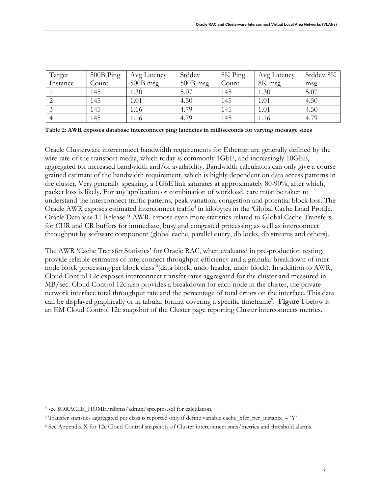| Target   | $500B$ Ping | Avg Latency | Stddev     | 8K Ping | Avg Latency | Stddev 8K |
|----------|-------------|-------------|------------|---------|-------------|-----------|
| Instance | Count       | $500B$ msg  | $500B$ msg | Count   | 8K msg      | msg       |
|          | 145         | 1.30        | 5.07       | 145     | 1.30        | 5.07      |
|          | 145         | 1.01        | 4.50       | 145     | 1.01        | 4.50      |
|          | 145         | 1.16        | 4.79       | 145     | 1.01        | 4.50      |
|          | 145         | 1.16        | 4.79       | 145     | 1.16        | 4.79      |

Table 2: AWR exposes database interconnect ping latencies in milliseconds for varying message sizes

Oracle Clusterware interconnect bandwidth requirements for Ethernet are generally defined by the wire rate of the transport media, which today is commonly 1GbE, and increasingly 10GbE, aggregated for increased bandwidth and/or availability. Bandwidth calculators can only give a course grained estimate of the bandwidth requirement, which is highly dependent on data access patterns in the cluster. Very generally speaking, a 1GbE link saturates at approximately 80-90%, after which, packet loss is likely. For any application or combination of workload, care must be taken to understand the interconnect traffic patterns, peak variation, congestion and potential block loss. The Oracle AWR exposes estimated interconnect traffic<sup>4</sup> in kilobytes in the 'Global Cache Load Profile. Oracle Database 11 Release 2 AWR expose even more statistics related to Global Cache Transfers for CUR and CR buffers for immediate, busy and congested processing as well as interconnect throughput by software component (global cache, parallel query, db locks, db streams and others).

The AWR 'Cache Transfer Statistics' for Oracle RAC, when evaluated in pre-production testing, provide reliable estimates of interconnect throughput efficiency and a granular breakdown of internode block processing per block class <sup>5</sup>(data block, undo header, undo block). In addition to AWR, Cloud Control 12c exposes interconnect transfer rates aggregated for the cluster and measured in MB/sec. Cloud Control 12c also provides a breakdown for each node in the cluster, the private network interface total throughput rate and the percentage of total errors on the interface. This data can be displayed graphically or in tabular format covering a specific timeframe<sup>6</sup>. Figure 1 below is an EM Cloud Control 12c snapshot of the Cluster page reporting Cluster interconnects metrics.

<sup>4</sup> see \$ORACLE\_HOME/rdbms/admin/sprepins.sql for calculation.

<sup>&</sup>lt;sup>5</sup> Transfer statistics aggregated per class is reported only if define variable cache\_xfer\_per\_instance =  $Y'$ 

<sup>6</sup> See Appendix X for 12c Cloud Control snapshots of Cluster interconnect stats/metrics and threshold alarms.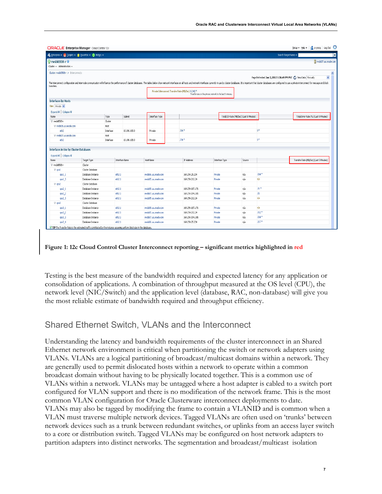|                                                         |                                                    | ORACLE Enterprise Manager Cloud Control 12c |                |                       |                                                     |                                                             |                                          |         | Setup + Help +   1 SYSMAN   Log Out   O                                                                                                                                                                                        |
|---------------------------------------------------------|----------------------------------------------------|---------------------------------------------|----------------|-----------------------|-----------------------------------------------------|-------------------------------------------------------------|------------------------------------------|---------|--------------------------------------------------------------------------------------------------------------------------------------------------------------------------------------------------------------------------------|
|                                                         | Enterprise v @ Largets v * Eavorites v @ History v |                                             |                |                       |                                                     |                                                             |                                          |         | Search Target Name w                                                                                                                                                                                                           |
| <b>G</b> rwsbi0508-r <sup>0</sup>                       |                                                    |                                             |                |                       |                                                     |                                                             |                                          |         | rwsbi07.us.oracle.com                                                                                                                                                                                                          |
| Cluster + Administration +                              |                                                    |                                             |                |                       |                                                     |                                                             |                                          |         |                                                                                                                                                                                                                                |
| Cluster: rwsbi0508-r > Interconnects                    |                                                    |                                             |                |                       |                                                     |                                                             |                                          |         |                                                                                                                                                                                                                                |
|                                                         |                                                    |                                             |                |                       |                                                     |                                                             |                                          |         | v<br>Page Refreshed Jan 3, 2012 1:36:49 PM PST ( View Data Manually                                                                                                                                                            |
| transfers.                                              |                                                    |                                             |                |                       |                                                     |                                                             |                                          |         | The interconnect configuration and internode communication will influence the performance of cluster databases. The tables below show network interfaces on all hosts and network interfaces currently in use by cluster datab |
|                                                         |                                                    |                                             |                |                       | Private Interconnect Transfer Rate (MB/Sec) 0.242 * |                                                             |                                          |         |                                                                                                                                                                                                                                |
|                                                         |                                                    |                                             |                |                       |                                                     | Transfer rate on the private network in the last 5 minutes. |                                          |         |                                                                                                                                                                                                                                |
| <b>Interfaces by Hosts</b>                              |                                                    |                                             |                |                       |                                                     |                                                             |                                          |         |                                                                                                                                                                                                                                |
| View Private V                                          |                                                    |                                             |                |                       |                                                     |                                                             |                                          |         |                                                                                                                                                                                                                                |
| Expand All Collapse All                                 |                                                    |                                             |                |                       |                                                     |                                                             |                                          |         |                                                                                                                                                                                                                                |
| Name                                                    |                                                    | Type                                        | Subnet         | Interface Type        |                                                     |                                                             | Total I/O Rate (MB/Sec) (Last 5 Minutes) |         | Total Error Rate (%) (Last 5 Minutes)                                                                                                                                                                                          |
| V rwsbi0508-r                                           |                                                    | Cluster                                     |                |                       |                                                     |                                                             |                                          |         |                                                                                                                                                                                                                                |
| V rwsbi05.us.oracle.com                                 |                                                    | Host                                        |                |                       |                                                     |                                                             |                                          |         |                                                                                                                                                                                                                                |
| eth <sub>2</sub>                                        |                                                    | Interface                                   | 10.196.108.0   | Private               | .326 *                                              |                                                             |                                          | $0*$    |                                                                                                                                                                                                                                |
| V rwsbi07.us.oracle.com                                 |                                                    | Host                                        |                |                       |                                                     |                                                             |                                          |         |                                                                                                                                                                                                                                |
|                                                         |                                                    |                                             |                |                       |                                                     |                                                             |                                          |         |                                                                                                                                                                                                                                |
| eth <sub>2</sub>                                        |                                                    | Interface                                   | 10.196.108.0   | Private               | .236 *                                              |                                                             |                                          | $0*$    |                                                                                                                                                                                                                                |
| Expand All Collapse All<br>Name                         | Target Type                                        |                                             | Interface Name | Host Name             | IP Address                                          | Interface Type                                              | Source                                   |         | Transfer Rate (MB/Sec) (Last 5 Minutes)                                                                                                                                                                                        |
| V rwsbi0508-r                                           | Cluster                                            |                                             |                |                       |                                                     |                                                             |                                          |         |                                                                                                                                                                                                                                |
| $\nabla$ qos1                                           | Cluster Database                                   |                                             |                |                       |                                                     |                                                             |                                          |         |                                                                                                                                                                                                                                |
| $qosl_1$                                                | Database Instance                                  | eth2:1                                      |                | rwsbi06.us.oracle.com | 169.254.25.234                                      | Private                                                     | n/a                                      | $.016*$ |                                                                                                                                                                                                                                |
| qos1_3                                                  | Database Instance                                  | eth2:1                                      |                | rwsbi05.us.oracle.com | 169.254.212.24                                      | Private                                                     | n/a                                      | n/a     |                                                                                                                                                                                                                                |
| $\nabla$ qos2                                           | Cluster Database                                   |                                             |                |                       |                                                     |                                                             |                                          |         |                                                                                                                                                                                                                                |
| $q$ os $2_1$                                            | Database Instance                                  | eth2:1                                      |                | rwsbi08.us.oracle.com | 169.254.107.171                                     | Private                                                     | n/a                                      | $.01*$  |                                                                                                                                                                                                                                |
| qos2_2                                                  | Database Instance                                  | eth2:1                                      |                | rwsbi07.us.oracle.com | 169.254.194.185                                     | Private                                                     | n/a                                      | .01     |                                                                                                                                                                                                                                |
| qos2_3                                                  | Database Instance                                  | eth2:1                                      |                | rwsbi05.us.oracle.com | 169.254.212.24                                      | Private                                                     | n/a                                      | nja     |                                                                                                                                                                                                                                |
| $\nabla$ qos3                                           | Cluster Database                                   |                                             |                |                       |                                                     |                                                             |                                          |         |                                                                                                                                                                                                                                |
| $q$ os $3_1$                                            | Database Instance                                  | eth2:1                                      |                | rwsbi08.us.oracle.com | 169.254.107.171                                     | Private                                                     | n/a                                      | n/a     |                                                                                                                                                                                                                                |
| qos3_2                                                  | Database Instance                                  | eth2:1                                      |                | rwsbi05.us.oracle.com | 169.254.212.24                                      | Private                                                     | n/a                                      | $.012*$ |                                                                                                                                                                                                                                |
| <b>Interfaces in Use by Cluster Databases</b><br>qos3_3 | Database Instance                                  | eth <sub>2:1</sub>                          |                | rwsbi07.us.oracle.com | 169.254.194.185                                     | Private                                                     | nja                                      | $.016*$ |                                                                                                                                                                                                                                |

Figure 1: 12c Cloud Control Cluster Interconnect reporting - significant metrics highlighted in red

Testing is the best measure of the bandwidth required and expected latency for any application or consolidation of applications. A combination of throughput measured at the OS level (CPU), the network level (NIC/Switch) and the application level (database, RAC, non-database) will give you the most reliable estimate of bandwidth required and throughput efficiency.

### Shared Ethernet Switch, VLANs and the Interconnect

Understanding the latency and bandwidth requirements of the cluster interconnect in an Shared Ethernet network environment is critical when partitioning the switch or network adapters using VLANs. VLANs are a logical partitioning of broadcast/multicast domains within a network. They are generally used to permit dislocated hosts within a network to operate within a common broadcast domain without having to be physically located together. This is a common use of VLANs within a network. VLANs may be untagged where a host adapter is cabled to a switch port configured for VLAN support and there is no modification of the network frame. This is the most common VLAN configuration for Oracle Clusterware interconnect deployments to date. VLANs may also be tagged by modifying the frame to contain a VLANID and is common when a VLAN must traverse multiple network devices. Tagged VLANs are often used on 'trunks' between network devices such as a trunk between redundant switches, or uplinks from an access layer switch to a core or distribution switch. Tagged VLANs may be configured on host network adapters to partition adapters into distinct networks. The segmentation and broadcast/multicast isolation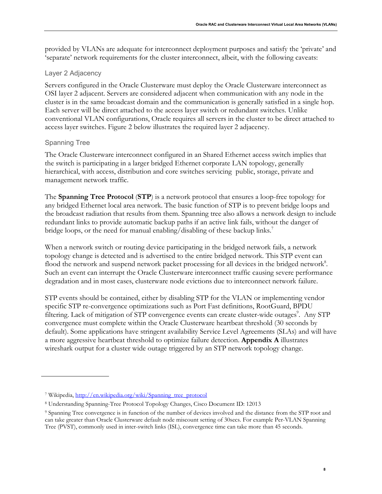provided by VLANs are adequate for interconnect deployment purposes and satisfy the 'private' and 'separate' network requirements for the cluster interconnect, albeit, with the following caveats:

#### Layer 2 Adjacency

Servers configured in the Oracle Clusterware must deploy the Oracle Clusterware interconnect as OSI layer 2 adjacent. Servers are considered adjacent when communication with any node in the cluster is in the same broadcast domain and the communication is generally satisfied in a single hop. Each server will be direct attached to the access layer switch or redundant switches. Unlike conventional VLAN configurations, Oracle requires all servers in the cluster to be direct attached to access layer switches. Figure 2 below illustrates the required layer 2 adjacency.

#### Spanning Tree

The Oracle Clusterware interconnect configured in an Shared Ethernet access switch implies that the switch is participating in a larger bridged Ethernet corporate LAN topology, generally hierarchical, with access, distribution and core switches servicing public, storage, private and management network traffic.

The **Spanning Tree Protocol (STP)** is a network protocol that ensures a loop-free topology for any bridged Ethernet local area network. The basic function of STP is to prevent bridge loops and the broadcast radiation that results from them. Spanning tree also allows a network design to include redundant links to provide automatic backup paths if an active link fails, without the danger of bridge loops, or the need for manual enabling/disabling of these backup links.<sup>7</sup>

When a network switch or routing device participating in the bridged network fails, a network topology change is detected and is advertised to the entire bridged network. This STP event can flood the network and suspend network packet processing for all devices in the bridged network<sup>8</sup>. Such an event can interrupt the Oracle Clusterware interconnect traffic causing severe performance degradation and in most cases, clusterware node evictions due to interconnect network failure.

STP events should be contained, either by disabling STP for the VLAN or implementing vendor specific STP re-convergence optimizations such as Port Fast definitions, RootGuard, BPDU filtering. Lack of mitigation of STP convergence events can create cluster-wide outages<sup>9</sup>. Any STP convergence must complete within the Oracle Clusterware heartbeat threshold (30 seconds by default). Some applications have stringent availability Service Level Agreements (SLAs) and will have a more aggressive heartbeat threshold to optimize failure detection. Appendix A illustrates wireshark output for a cluster wide outage triggered by an STP network topology change.

<sup>&</sup>lt;sup>7</sup> Wikipedia, http://en.wikipedia.org/wiki/Spanning\_tree\_protocol

<sup>8</sup> Understanding Spanning-Tree Protocol Topology Changes, Cisco Document ID: 12013

<sup>9</sup> Spanning Tree convergence is in function of the number of devices involved and the distance from the STP root and can take greater than Oracle Clusterware default node miscount setting of 30secs. For example Per-VLAN Spanning Tree (PVST), commonly used in inter-switch links (ISL), convergence time can take more than 45 seconds.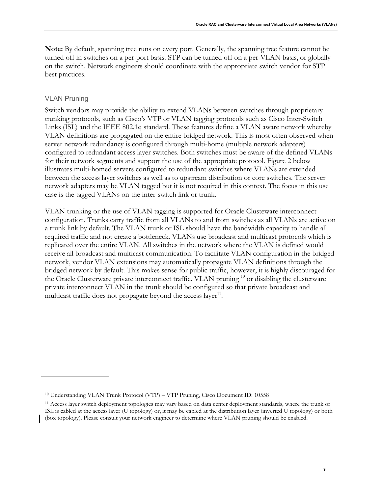Note: By default, spanning tree runs on every port. Generally, the spanning tree feature cannot be turned off in switches on a per-port basis. STP can be turned off on a per-VLAN basis, or globally on the switch. Network engineers should coordinate with the appropriate switch vendor for STP best practices.

#### VLAN Pruning

Switch vendors may provide the ability to extend VLANs between switches through proprietary trunking protocols, such as Cisco's VTP or VLAN tagging protocols such as Cisco Inter-Switch Links (ISL) and the IEEE 802.1q standard. These features define a VLAN aware network whereby VLAN definitions are propagated on the entire bridged network. This is most often observed when server network redundancy is configured through multi-home (multiple network adapters) configured to redundant access layer switches. Both switches must be aware of the defined VLANs for their network segments and support the use of the appropriate protocol. Figure 2 below illustrates multi-homed servers configured to redundant switches where VLANs are extended between the access layer switches as well as to upstream distribution or core switches. The server network adapters may be VLAN tagged but it is not required in this context. The focus in this use case is the tagged VLANs on the inter-switch link or trunk.

VLAN trunking or the use of VLAN tagging is supported for Oracle Clusteware interconnect configuration. Trunks carry traffic from all VLANs to and from switches as all VLANs are active on a trunk link by default. The VLAN trunk or ISL should have the bandwidth capacity to handle all required traffic and not create a bottleneck. VLANs use broadcast and multicast protocols which is replicated over the entire VLAN. All switches in the network where the VLAN is defined would receive all broadcast and multicast communication. To facilitate VLAN configuration in the bridged network, vendor VLAN extensions may automatically propagate VLAN definitions through the bridged network by default. This makes sense for public traffic, however, it is highly discouraged for the Oracle Clusterware private interconnect traffic. VLAN pruning <sup>10</sup> or disabling the clusterware private interconnect VLAN in the trunk should be configured so that private broadcast and multicast traffic does not propagate beyond the access layer $^{11}$ .

<sup>10</sup> Understanding VLAN Trunk Protocol (VTP) – VTP Pruning, Cisco Document ID: 10558

<sup>11</sup> Access layer switch deployment topologies may vary based on data center deployment standards, where the trunk or ISL is cabled at the access layer (U topology) or, it may be cabled at the distribution layer (inverted U topology) or both (box topology). Please consult your network engineer to determine where VLAN pruning should be enabled.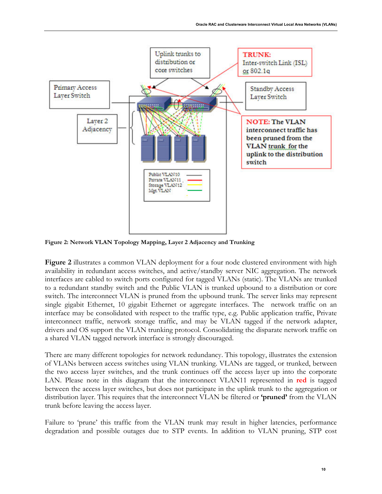

Figure 2: Network VLAN Topology Mapping, Layer 2 Adjacency and Trunking

Figure 2 illustrates a common VLAN deployment for a four node clustered environment with high availability in redundant access switches, and active/standby server NIC aggregation. The network interfaces are cabled to switch ports configured for tagged VLANs (static). The VLANs are trunked to a redundant standby switch and the Public VLAN is trunked upbound to a distribution or core switch. The interconnect VLAN is pruned from the upbound trunk. The server links may represent single gigabit Ethernet, 10 gigabit Ethernet or aggregate interfaces. The network traffic on an interface may be consolidated with respect to the traffic type, e.g. Public application traffic, Private interconnect traffic, network storage traffic, and may be VLAN tagged if the network adapter, drivers and OS support the VLAN trunking protocol. Consolidating the disparate network traffic on a shared VLAN tagged network interface is strongly discouraged.

There are many different topologies for network redundancy. This topology, illustrates the extension of VLANs between access switches using VLAN trunking. VLANs are tagged, or trunked, between the two access layer switches, and the trunk continues off the access layer up into the corporate LAN. Please note in this diagram that the interconnect VLAN11 represented in red is tagged between the access layer switches, but does not participate in the uplink trunk to the aggregation or distribution layer. This requires that the interconnect VLAN be filtered or 'pruned' from the VLAN trunk before leaving the access layer.

Failure to 'prune' this traffic from the VLAN trunk may result in higher latencies, performance degradation and possible outages due to STP events. In addition to VLAN pruning, STP cost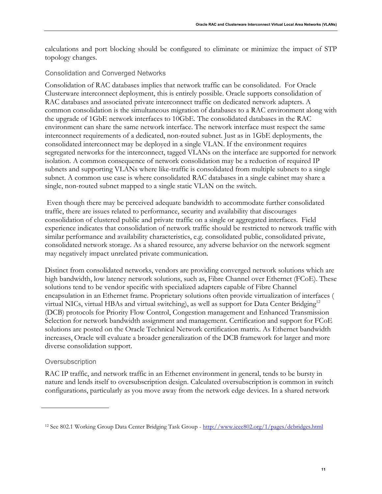calculations and port blocking should be configured to eliminate or minimize the impact of STP topology changes.

#### Consolidation and Converged Networks

Consolidation of RAC databases implies that network traffic can be consolidated. For Oracle Clusterware interconnect deployment, this is entirely possible. Oracle supports consolidation of RAC databases and associated private interconnect traffic on dedicated network adapters. A common consolidation is the simultaneous migration of databases to a RAC environment along with the upgrade of 1GbE network interfaces to 10GbE. The consolidated databases in the RAC environment can share the same network interface. The network interface must respect the same interconnect requirements of a dedicated, non-routed subnet. Just as in 1GbE deployments, the consolidated interconnect may be deployed in a single VLAN. If the environment requires segregated networks for the interconnect, tagged VLANs on the interface are supported for network isolation. A common consequence of network consolidation may be a reduction of required IP subnets and supporting VLANs where like-traffic is consolidated from multiple subnets to a single subnet. A common use case is where consolidated RAC databases in a single cabinet may share a single, non-routed subnet mapped to a single static VLAN on the switch.

 Even though there may be perceived adequate bandwidth to accommodate further consolidated traffic, there are issues related to performance, security and availability that discourages consolidation of clustered public and private traffic on a single or aggregated interfaces. Field experience indicates that consolidation of network traffic should be restricted to network traffic with similar performance and availability characteristics, e.g. consolidated public, consolidated private, consolidated network storage. As a shared resource, any adverse behavior on the network segment may negatively impact unrelated private communication.

Distinct from consolidated networks, vendors are providing converged network solutions which are high bandwidth, low latency network solutions, such as, Fibre Channel over Ethernet (FCoE). These solutions tend to be vendor specific with specialized adapters capable of Fibre Channel encapsulation in an Ethernet frame. Proprietary solutions often provide virtualization of interfaces ( virtual NICs, virtual HBAs and virtual switching), as well as support for Data Center Bridging<sup>12</sup> (DCB) protocols for Priority Flow Control, Congestion management and Enhanced Transmission Selection for network bandwidth assignment and management. Certification and support for FCoE solutions are posted on the Oracle Technical Network certification matrix. As Ethernet bandwidth increases, Oracle will evaluate a broader generalization of the DCB framework for larger and more diverse consolidation support.

### **Oversubscription**

RAC IP traffic, and network traffic in an Ethernet environment in general, tends to be bursty in nature and lends itself to oversubscription design. Calculated oversubscription is common in switch configurations, particularly as you move away from the network edge devices. In a shared network

<sup>&</sup>lt;sup>12</sup> See 802.1 Working Group Data Center Bridging Task Group - http://www.ieee802.org/1/pages/dcbridges.html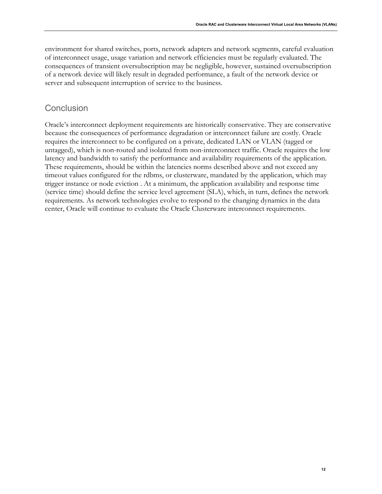environment for shared switches, ports, network adapters and network segments, careful evaluation of interconnect usage, usage variation and network efficiencies must be regularly evaluated. The consequences of transient oversubscription may be negligible, however, sustained oversubscription of a network device will likely result in degraded performance, a fault of the network device or server and subsequent interruption of service to the business.

### **Conclusion**

Oracle's interconnect deployment requirements are historically conservative. They are conservative because the consequences of performance degradation or interconnect failure are costly. Oracle requires the interconnect to be configured on a private, dedicated LAN or VLAN (tagged or untagged), which is non-routed and isolated from non-interconnect traffic. Oracle requires the low latency and bandwidth to satisfy the performance and availability requirements of the application. These requirements, should be within the latencies norms described above and not exceed any timeout values configured for the rdbms, or clusterware, mandated by the application, which may trigger instance or node eviction . At a minimum, the application availability and response time (service time) should define the service level agreement (SLA), which, in turn, defines the network requirements. As network technologies evolve to respond to the changing dynamics in the data center, Oracle will continue to evaluate the Oracle Clusterware interconnect requirements.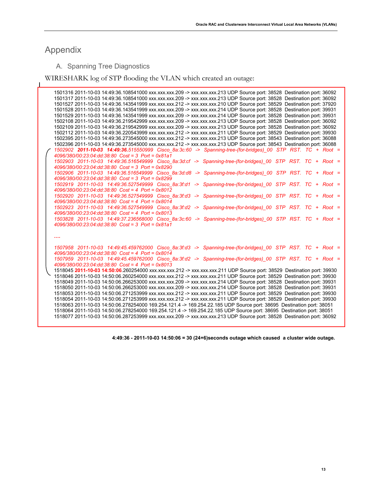### Appendix

#### A. Spanning Tree Diagnostics

WIRESHARK log of STP flooding the VLAN which created an outage:

1501316 2011-10-03 14:49:36.108541000 xxx.xxx.xxx.209 -> xxx.xxx.xxx.213 UDP Source port: 38528 Destination port: 36092 1501317 2011-10-03 14:49:36.108541000 xxx.xxx.xxx.209 -> xxx.xxx.xxx.213 UDP Source port: 38528 Destination port: 36092 1501527 2011-10-03 14:49:36.143541999 xxx.xxx.xxx.212 -> xxx.xxx.xxx.210 UDP Source port: 38529 Destination port: 37920 1501528 2011-10-03 14:49:36.143541999 xxx.xxx.xxx.209 -> xxx.xxx.xxx.214 UDP Source port: 38528 Destination port: 39931 1501529 2011-10-03 14:49:36.143541999 xxx.xxx.xxx.209 -> xxx.xxx.xxx.214 UDP Source port: 38528 Destination port: 39931 1502108 2011-10-03 14:49:36.219542999 xxx.xxx.xxx.209 -> xxx.xxx.xxx.213 UDP Source port: 38528 Destination port: 36092 1502109 2011-10-03 14:49:36.219542999 xxx.xxx.xxx.209 -> xxx.xxx.xxx.213 UDP Source port: 38528 Destination port: 36092 1502112 2011-10-03 14:49:36.220543999 xxx.xxx.xxx.212 -> xxx.xxx.xxx.211 UDP Source port: 38529 Destination port: 39930 1502395 2011-10-03 14:49:36.273545000 xxx.xxx.xxx.212 -> xxx.xxx.xxx.213 UDP Source port: 38543 Destination port: 36088 1502396 2011-10-03 14:49:36.273545000 xxx.xxx.xxx.212 -> xxx.xxx.xxx.213 UDP Source port: 38543 Destination port: 36088 1502902 2011-10-03 14:49:36.515550999 Cisco\_8a:3c:60 -> Spanning-tree-(for-bridges)\_00 STP RST. TC + Root = 4096/380/00:23:04:dd:38:80 Cost = 3 Port = 0x81a1 1502903 2011-10-03 14:49:36.516549999 Cisco\_8a:3d:cf -> Spanning-tree-(for-bridges)\_00 STP RST. TC + Root = 4096/380/00:23:04:dd:38:80 Cost = 3 Port = 0x8290 1502906 2011-10-03 14:49:36.516549999 Cisco\_8a:3d:d8 -> Spanning-tree-(for-bridges)\_00 STP RST. TC + Root = 4096/380/00:23:04:dd:38:80 Cost = 3 Port = 0x8299 1502919 2011-10-03 14:49:36.527549999 Cisco\_8a:3f:d1 -> Spanning-tree-(for-bridges)\_00 STP RST. TC + Root = 4096/380/00:23:04:dd:38:80 Cost = 4 Port = 0x8012 1502920 2011-10-03 14:49:36.527549999 Cisco\_8a:3f:d3 -> Spanning-tree-(for-bridges)\_00 STP RST. TC + Root =  $4096/380/00:23:04:dd:38:80$  Cost = 4 Port = 0x8014 1502923 2011-10-03 14:49:36.527549999 Cisco\_8a:3f:d2 -> Spanning-tree-(for-bridges)\_00 STP RST. TC + Root = 4096/380/00:23:04:dd:38:80 Cost = 4 Port = 0x8013 1503828 2011-10-03 14:49:37.236568000 Cisco\_8a:3c:60 -> Spanning-tree-(for-bridges)\_00 STP RST. TC + Root = 4096/380/00:23:04:dd:38:80 Cost = 3 Port = 0x81a1 …. 1507958 2011-10-03 14:49:45.459762000 Cisco\_8a:3f:d3 -> Spanning-tree-(for-bridges)\_00 STP RST. TC + Root = 4096/380/00:23:04:dd:38:80 Cost = 4 Port = 0x8014 1507959 2011-10-03 14:49:45.459762000 Cisco\_8a:3f:d2 -> Spanning-tree-(for-bridges)\_00 STP RST. TC + Root = 4096/380/00:23:04:dd:38:80 Cost = 4 Port = 0x8013 1518045 2011-10-03 14:50:06.260254000 xxx.xxx.xxx.212 -> xxx.xxx.xxx.211 UDP Source port: 38529 Destination port: 39930 1518046 2011-10-03 14:50:06.260254000 xxx.xxx.xxx.212 -> xxx.xxx.xxx.211 UDP Source port: 38529 Destination port: 39930 1518049 2011-10-03 14:50:06.266253000 xxx.xxx.xxx.209 -> xxx.xxx.xxx.214 UDP Source port: 38528 Destination port: 39931 1518050 2011-10-03 14:50:06.266253000 xxx.xxx.xxx.209 -> xxx.xxx.xxx.214 UDP Source port: 38528 Destination port: 39931 1518053 2011-10-03 14:50:06.271253999 xxx.xxx.xxx.212 -> xxx.xxx.xxx.211 UDP Source port: 38529 Destination port: 39930 1518054 2011-10-03 14:50:06.271253999 xxx.xxx.xxx.212 -> xxx.xxx.xxx.211 UDP Source port: 38529 Destination port: 39930 1518063 2011-10-03 14:50:06.278254000 169.254.121.4 -> 169.254.22.185 UDP Source port: 38695 Destination port: 38051 1518064 2011-10-03 14:50:06.278254000 169.254.121.4 -> 169.254.22.185 UDP Source port: 38695 Destination port: 38051 1518077 2011-10-03 14:50:06.287253999 xxx.xxx.xxx.209 -> xxx.xxx.xxx.213 UDP Source port: 38528 Destination port: 36092

4:49:36 - 2011-10-03 14:50:06 = 30 (24+6)seconds outage which caused a cluster wide outage.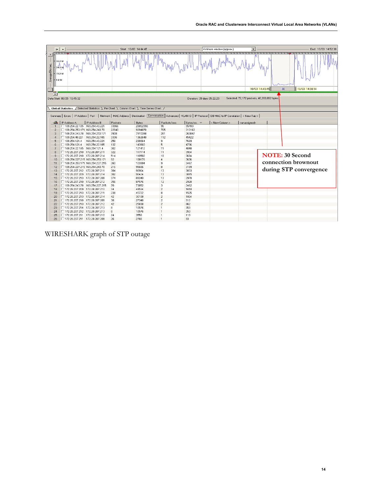

WIRESHARK graph of STP outage